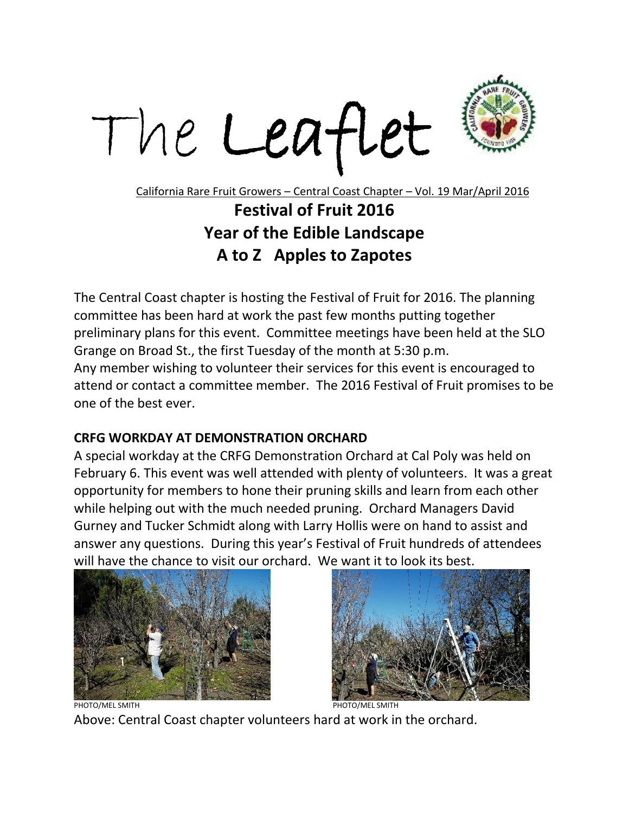



California Rare Fruit Growers – Central Coast Chapter – Vol. 19 Mar/April 2016

## **Festival of Fruit 2016 Year of the Edible Landscape A to Z Apples to Zapotes**

The Central Coast chapter is hosting the Festival of Fruit for 2016. The planning committee has been hard at work the past few months putting together preliminary plans for this event. Committee meetings have been held at the SLO Grange on Broad St., the first Tuesday of the month at 5:30 p.m.

Any member wishing to volunteer their services for this event is encouraged to attend or contact a committee member. The 2016 Festival of Fruit promises to be one of the best ever.

## **CRFG WORKDAY AT DEMONSTRATION ORCHARD**

A special workday at the CRFG Demonstration Orchard at Cal Poly was held on February 6. This event was well attended with plenty of volunteers. It was a great opportunity for members to hone their pruning skills and learn from each other while helping out with the much needed pruning. Orchard Managers David Gurney and Tucker Schmidt along with Larry Hollis were on hand to assist and answer any questions. During this year's Festival of Fruit hundreds of attendees will have the chance to visit our orchard. We want it to look its best.





Above: Central Coast chapter volunteers hard at work in the orchard.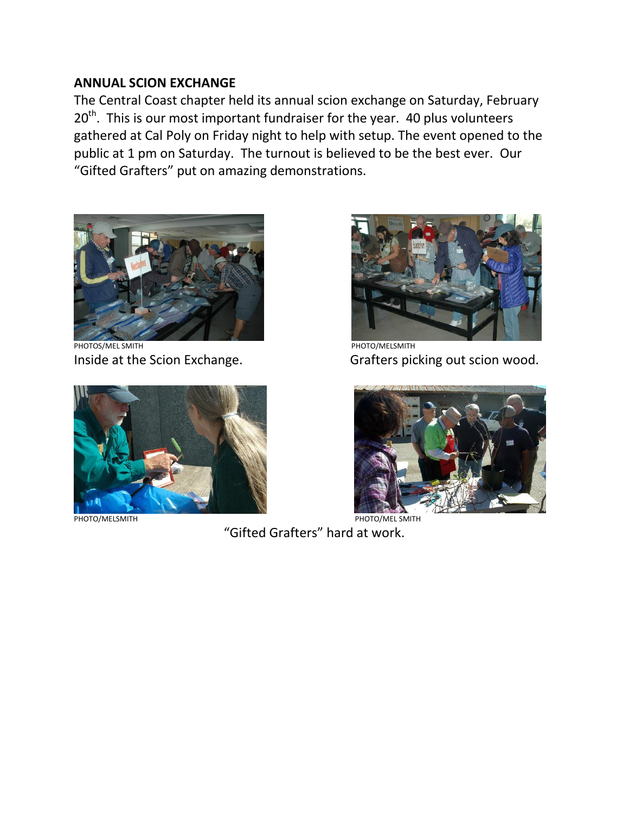## **ANNUAL SCION EXCHANGE**

The Central Coast chapter held its annual scion exchange on Saturday, February  $20<sup>th</sup>$ . This is our most important fundraiser for the year. 40 plus volunteers gathered at Cal Poly on Friday night to help with setup. The event opened to the public at 1 pm on Saturday. The turnout is believed to be the best ever. Our "Gifted Grafters" put on amazing demonstrations.

 $\overline{\phantom{a}}$ 



PHOTOS/MEL SMITH **PHOTOS** PHOTO CONTRACT THE PHOTO CONTRACT THE PHOTO CONTRACT THE PHOTO CONTRACT THE PHOTO CONTRACT THE PHOTO CONTRACT THE PHOTO CONTRACT THE PHOTO CONTRACT THE PHOTO CONTRACT THE PHOTO CONTRACT THE PHOTO





Inside at the Scion Exchange. Grafters picking out scion wood.



PHOTO/MELSMITH **PHOTO/MELSMITH** 

"Gifted Grafters" hard at work.